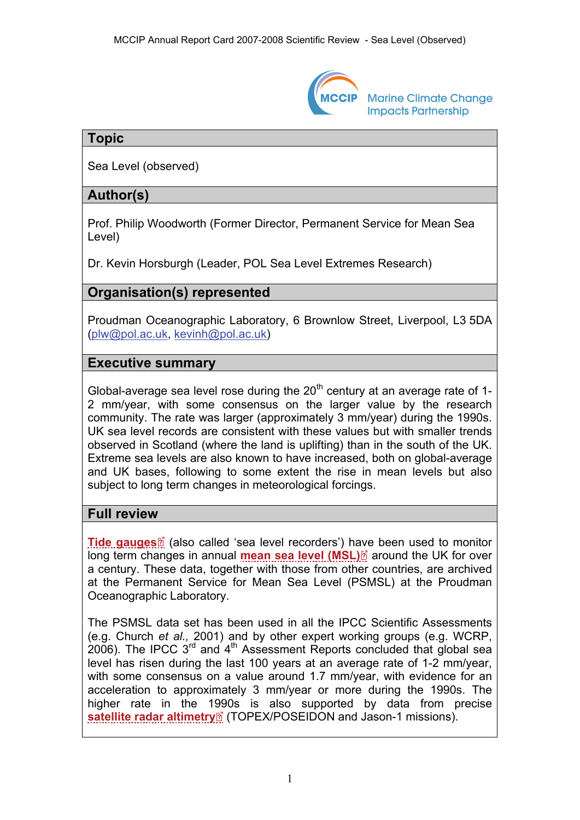

**Marine Climate Change Impacts Partnership** 

# **Topic**

Sea Level (observed)

# **Author(s)**

Prof. Philip Woodworth (Former Director, Permanent Service for Mean Sea Level)

Dr. Kevin Horsburgh (Leader, POL Sea Level Extremes Research)

# **Organisation(s) represented**

Proudman Oceanographic Laboratory, 6 Brownlow Street, Liverpool, L3 5DA ([plw@pol.ac.uk](mailto:plw@pol.ac.uk), [kevinh@pol.ac.uk\)](mailto:kevinh@pol.ac.uk)

## **Executive summary**

Global-average sea level rose during the  $20<sup>th</sup>$  century at an average rate of 1-2 mm/year, with some consensus on the larger value by the research community. The rate was larger (approximately 3 mm/year) during the 1990s. UK sea level records are consistent with these values but with smaller trends observed in Scotland (where the land is uplifting) than in the south of the UK. Extreme sea levels are also known to have increased, both on global-average and UK bases, following to some extent the rise in mean levels but also subject to long term changes in meteorological forcings.

### **Full review**

**[Tide gauges](http://www.mccip.org.uk/arc/2007/glossary.htm#Tide_gauges)** (also called 'sea level recorders') have been used to monitor long term changes in annual **[mean sea level \(MSL\)](http://www.mccip.org.uk/arc/2007/glossary.htm#MSL)**<sup>2</sup> around the UK for over a century. These data, together with those from other countries, are archived at the Permanent Service for Mean Sea Level (PSMSL) at the Proudman Oceanographic Laboratory.

The PSMSL data set has been used in all the IPCC Scientific Assessments (e.g. Church *et al.,* 2001) and by other expert working groups (e.g. WCRP, 2006). The IPCC  $3<sup>rd</sup>$  and  $4<sup>th</sup>$  Assessment Reports concluded that global sea level has risen during the last 100 years at an average rate of 1-2 mm/year, with some consensus on a value around 1.7 mm/year, with evidence for an acceleration to approximately 3 mm/year or more during the 1990s. The higher rate in the [199](http://www.mccip.org.uk/arc/2007/glossary.htm)0s is also supported by data from precise **[satellite radar altimetry](http://www.mccip.org.uk/arc/2007/glossary.htm#radar_altimeters)**<sup>2</sup> (TOPEX/POSEIDON and Jason-1 missions).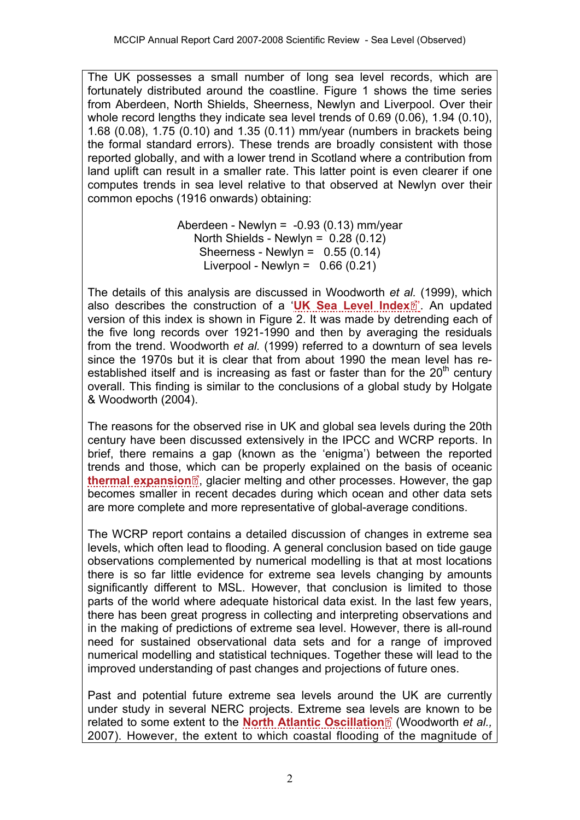The UK possesses a small number of long sea level records, which are fortunately distributed around the coastline. Figure 1 shows the time series from Aberdeen, North Shields, Sheerness, Newlyn and Liverpool. Over their whole record lengths they indicate sea level trends of 0.69 (0.06), 1.94 (0.10), 1.68 (0.08), 1.75 (0.10) and 1.35 (0.11) mm/year (numbers in brackets being the formal standard errors). These trends are broadly consistent with those reported globally, and with a lower trend in Scotland where a contribution from land uplift can result in a smaller rate. This latter point is even clearer if one computes trends in sea level relative to that observed at Newlyn over their common epochs (1916 onwards) obtaining:

> Aberdeen - Newlyn =  $-0.93$  (0.13) mm/year North Shields - Newlyn = 0.28 (0.12) Sheerness - Newlyn =  $0.55(0.14)$ Liverpool - Newlyn =  $0.66(0.21)$

The details of this analysis are discussed in Woodworth *et al.* (1999), which also describes the construction of a '[UK Sea Level Index](http://www.mccip.org.uk/arc/2007/glossary.htm#UK_Sea_Level_Index)<sup>[7]</sup>'. An updated version of this index is shown in Figure 2. It was made by detrending each of the five long records over 1921-1990 and then by averaging the residuals from the trend. Woodworth *et al.* (1999) referred to a downturn of sea levels since the 1970s but it is clear that from about 1990 the mean level has reestablished itself and is increasing as fast or faster than for the  $20<sup>th</sup>$  century overall. This finding is similar to the conclusions of a global study by Holgate & Woodworth (2004).

The reasons for the observed rise in UK and global sea levels during the 20th century have been discussed extensively in the IPCC and WCRP reports. In brief, there remains a gap (known as the 'enigma') between the reported trends and those, [whi](http://www.mccip.org.uk/arc/2007/glossary.htm)ch can be properly explained on the basis of oceanic [thermal expansion](http://www.mccip.org.uk/arc/2007/glossary.htm#Thermal_expansion)<sup>®</sup>, glacier melting and other processes. However, the gap becomes smaller in recent decades during which ocean and other data sets are more complete and more representative of global-average conditions.

The WCRP report contains a detailed discussion of changes in extreme sea levels, which often lead to flooding. A general conclusion based on tide gauge observations complemented by numerical modelling is that at most locations there is so far little evidence for extreme sea levels changing by amounts significantly different to MSL. However, that conclusion is limited to those parts of the world where adequate historical data exist. In the last few years, there has been great progress in collecting and interpreting observations and in the making of predictions of extreme sea level. However, there is all-round need for sustained observational data sets and for a range of improved numerical modelling and statistical techniques. Together these will lead to the improved understanding of past changes and projections of future ones.

Past and potential future extreme sea levels around the UK are currently under study in several NERC projects. Extreme sea le[vels](http://www.mccip.org.uk/arc/2007/glossary.htm) are known to be related to some extent to the **[North Atlantic Oscillation](http://www.mccip.org.uk/arc/2007/glossary.htm#NAO)**<sup>2</sup> (Woodworth *et al.,* 2007). However, the extent to which coastal flooding of the magnitude of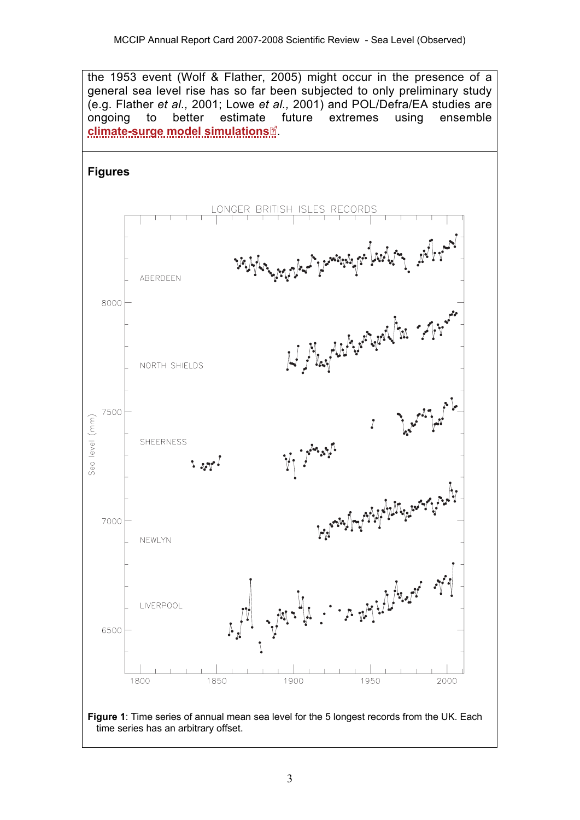the 1953 event (Wolf & Flather, 2005) might occur in the presence of a general sea level rise has so far been subjected to only preliminary study (e.g. Flather *et al.,* 2001; Lowe *et al.,* 2001) and POL/Defra/EA studies are ongoing to better estimatefuture extremes using ensemble **[climate-surge model simulations](http://www.mccip.org.uk/arc/2007/glossary.htm#Climate_model_simulations)** .

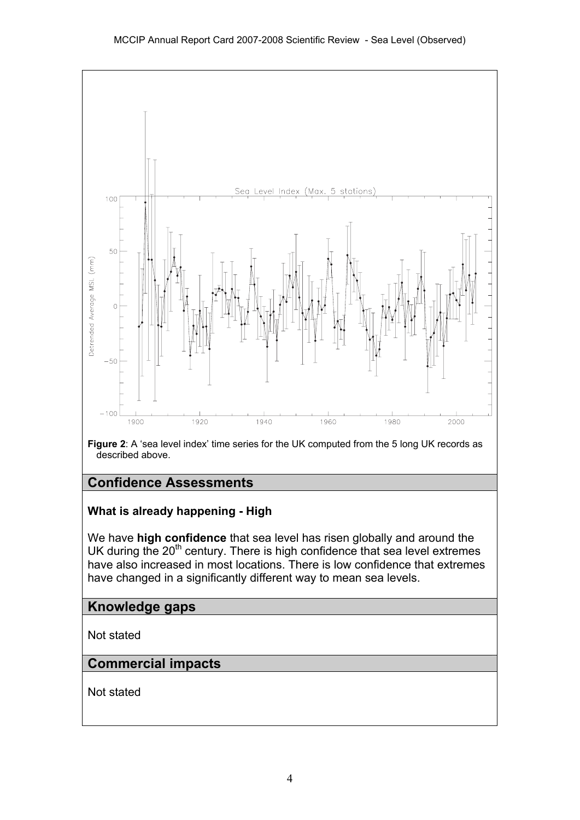